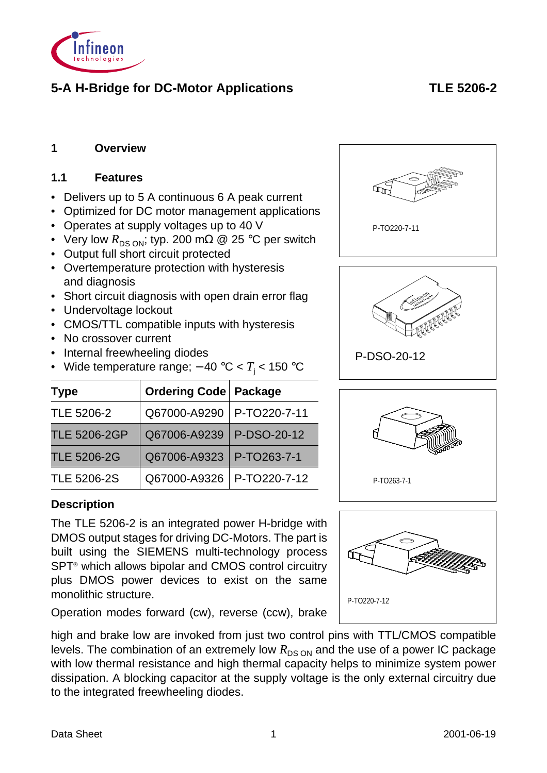

# **5-A H-Bridge for DC-Motor Applications TLE 5206-2**

# **1 Overview**

#### **1.1 Features**

- Delivers up to 5 A continuous 6 A peak current
- Optimized for DC motor management applications
- Operates at supply voltages up to 40 V
- Very low  $R_{DS \, ON}$ ; typ. 200 m $\Omega$  @ 25 °C per switch
- Output full short circuit protected
- Overtemperature protection with hysteresis and diagnosis
- Short circuit diagnosis with open drain error flag
- Undervoltage lockout
- CMOS/TTL compatible inputs with hysteresis
- No crossover current
- Internal freewheeling diodes
- Wide temperature range; − 40 °C < *T*<sup>j</sup> < 150 °C

| <b>Type</b>         | <b>Ordering Code   Package</b> |              |
|---------------------|--------------------------------|--------------|
| TLE 5206-2          | Q67000-A9290                   | P-TO220-7-11 |
| <b>TLE 5206-2GP</b> | Q67006-A9239                   | P-DSO-20-12  |
| <b>TLE 5206-2G</b>  | Q67006-A9323                   | P-TO263-7-1  |
| <b>TLE 5206-2S</b>  | Q67000-A9326                   | P-TO220-7-12 |

# **Description**

The TLE 5206-2 is an integrated power H-bridge with DMOS output stages for driving DC-Motors. The part is built using the SIEMENS multi-technology process SPT<sup>®</sup> which allows bipolar and CMOS control circuitry plus DMOS power devices to exist on the same monolithic structure.



Operation modes forward (cw), reverse (ccw), brake

high and brake low are invoked from just two control pins with TTL/CMOS compatible levels. The combination of an extremely low  $R_{DS ON}$  and the use of a power IC package with low thermal resistance and high thermal capacity helps to minimize system power dissipation. A blocking capacitor at the supply voltage is the only external circuitry due to the integrated freewheeling diodes.





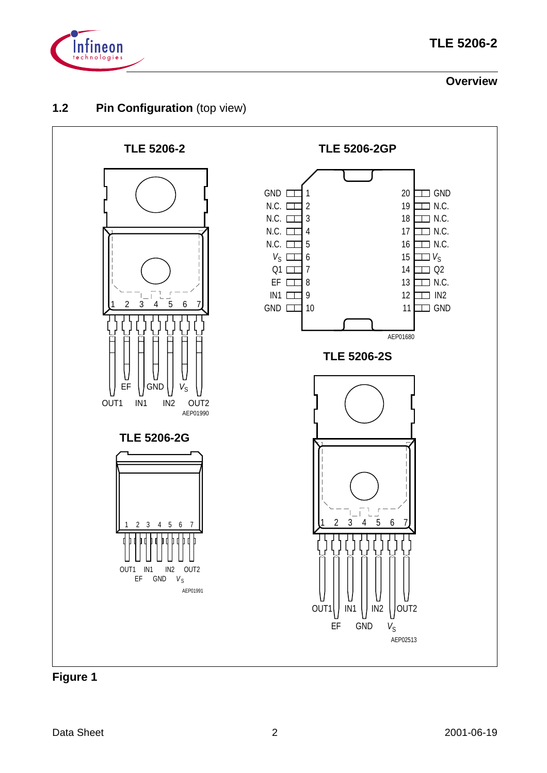

#### **Overview**

# **1.2** Pin Configuration (top view)



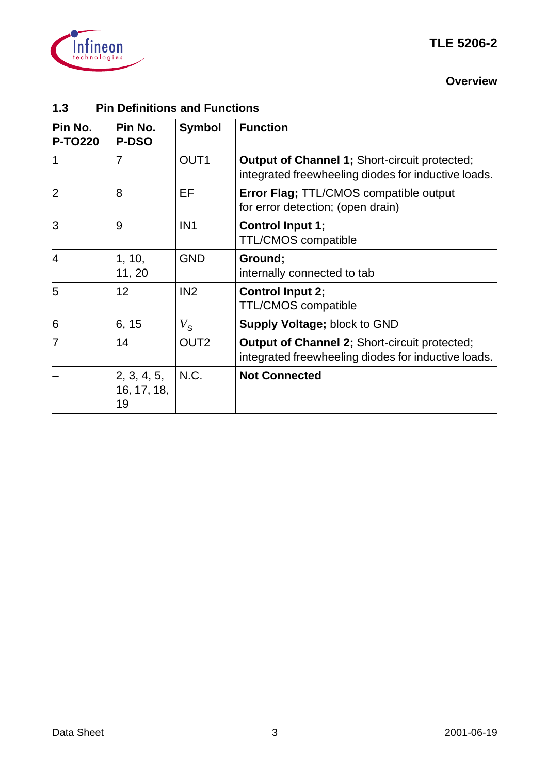

#### **Overview**

# **1.3 Pin Definitions and Functions**

| Pin No.<br><b>P-TO220</b> | Pin No.<br><b>P-DSO</b>          | <b>Symbol</b>    | <b>Function</b>                                                                                             |
|---------------------------|----------------------------------|------------------|-------------------------------------------------------------------------------------------------------------|
| 1                         | $\overline{7}$                   | OUT <sub>1</sub> | <b>Output of Channel 1; Short-circuit protected;</b><br>integrated freewheeling diodes for inductive loads. |
| $\overline{2}$            | 8                                | EF               | Error Flag; TTL/CMOS compatible output<br>for error detection; (open drain)                                 |
| 3                         | 9                                | IN <sub>1</sub>  | <b>Control Input 1;</b><br><b>TTL/CMOS compatible</b>                                                       |
| $\overline{4}$            | 1, 10,<br>11, 20                 | <b>GND</b>       | Ground;<br>internally connected to tab                                                                      |
| 5                         | 12                               | IN <sub>2</sub>  | <b>Control Input 2;</b><br>TTL/CMOS compatible                                                              |
| 6                         | 6, 15                            | $V_{\rm S}$      | <b>Supply Voltage; block to GND</b>                                                                         |
| $\overline{7}$            | 14                               | OUT <sub>2</sub> | <b>Output of Channel 2; Short-circuit protected;</b><br>integrated freewheeling diodes for inductive loads. |
|                           | 2, 3, 4, 5,<br>16, 17, 18,<br>19 | N.C.             | <b>Not Connected</b>                                                                                        |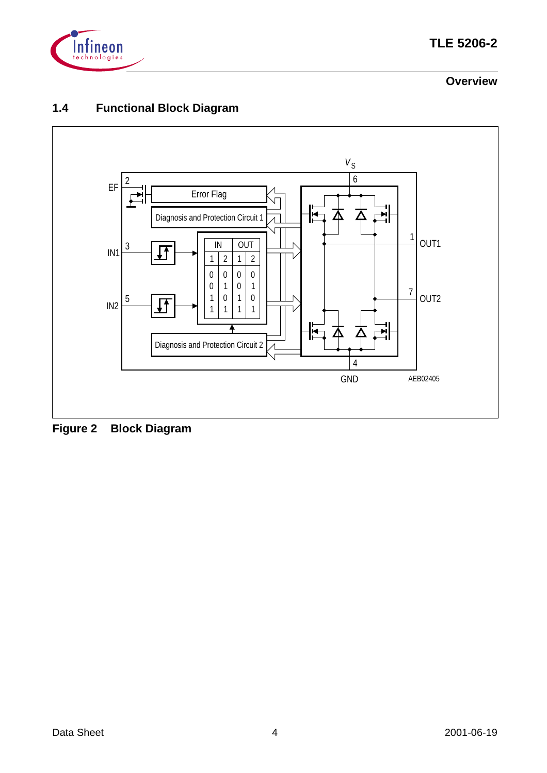

# **TLE 5206-2**

# **Overview**

# **1.4 Functional Block Diagram**



**Figure 2 Block Diagram**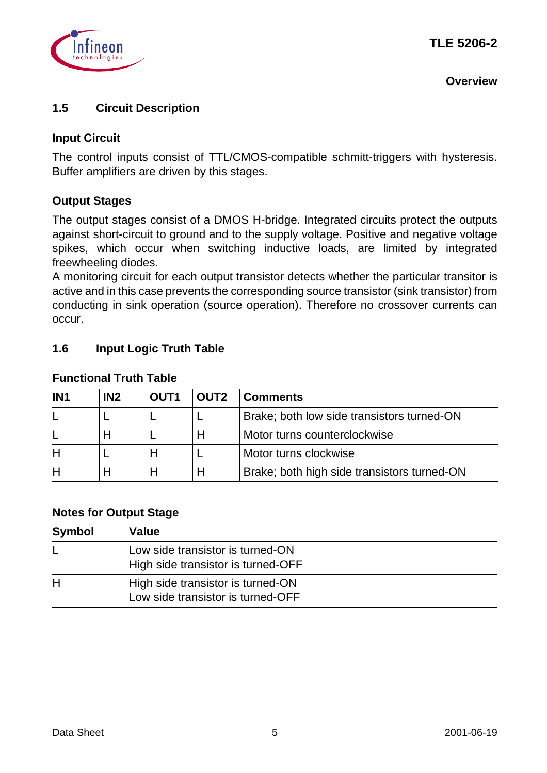

**Overview**

# **1.5 Circuit Description**

#### **Input Circuit**

The control inputs consist of TTL/CMOS-compatible schmitt-triggers with hysteresis. Buffer amplifiers are driven by this stages.

#### **Output Stages**

The output stages consist of a DMOS H-bridge. Integrated circuits protect the outputs against short-circuit to ground and to the supply voltage. Positive and negative voltage spikes, which occur when switching inductive loads, are limited by integrated freewheeling diodes.

A monitoring circuit for each output transistor detects whether the particular transitor is active and in this case prevents the corresponding source transistor (sink transistor) from conducting in sink operation (source operation). Therefore no crossover currents can occur.

#### **1.6 Input Logic Truth Table**

| IN <sub>1</sub> | IN <sub>2</sub> | <b>OUT1</b> | <b>OUT2</b> | <b>Comments</b>                             |
|-----------------|-----------------|-------------|-------------|---------------------------------------------|
|                 |                 |             |             | Brake; both low side transistors turned-ON  |
|                 |                 |             |             | Motor turns counterclockwise                |
|                 |                 |             |             | Motor turns clockwise                       |
|                 |                 |             |             | Brake; both high side transistors turned-ON |

#### **Functional Truth Table**

#### **Notes for Output Stage**

| <b>Symbol</b> | Value                                                                  |
|---------------|------------------------------------------------------------------------|
| L             | Low side transistor is turned-ON<br>High side transistor is turned-OFF |
| H             | High side transistor is turned-ON<br>Low side transistor is turned-OFF |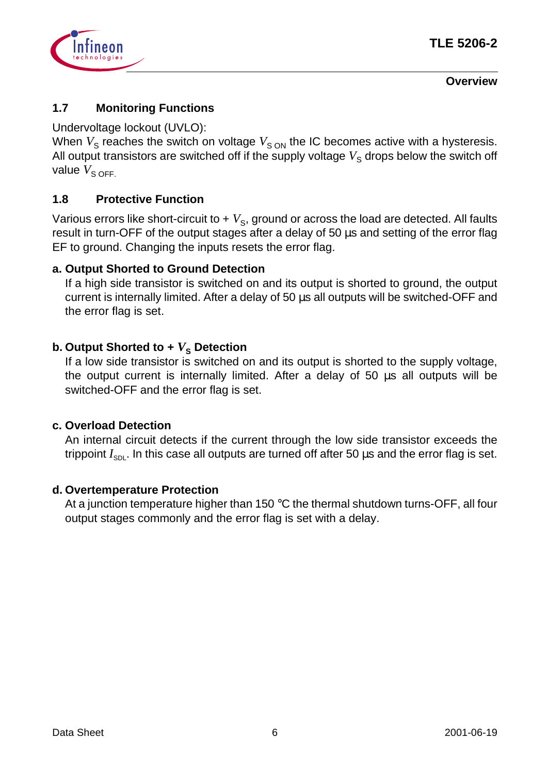

#### **Overview**

# **1.7 Monitoring Functions**

Undervoltage lockout (UVLO):

When  $V_S$  reaches the switch on voltage  $V_{SON}$  the IC becomes active with a hysteresis. All output transistors are switched off if the supply voltage  $V<sub>s</sub>$  drops below the switch off value  $V_{\text{S OFF.}}$ 

# **1.8 Protective Function**

Various errors like short-circuit to  $+ V<sub>S</sub>$ , ground or across the load are detected. All faults result in turn-OFF of the output stages after a delay of 50 µs and setting of the error flag EF to ground. Changing the inputs resets the error flag.

#### **a. Output Shorted to Ground Detection**

If a high side transistor is switched on and its output is shorted to ground, the output current is internally limited. After a delay of 50 µs all outputs will be switched-OFF and the error flag is set.

# **b. Output Shorted to +**  $V_s$  **Detection**

If a low side transistor is switched on and its output is shorted to the supply voltage, the output current is internally limited. After a delay of 50 µs all outputs will be switched-OFF and the error flag is set.

#### **c. Overload Detection**

An internal circuit detects if the current through the low side transistor exceeds the trippoint  $I_{SDL}$ . In this case all outputs are turned off after 50 µs and the error flag is set.

#### **d. Overtemperature Protection**

At a junction temperature higher than 150 °C the thermal shutdown turns-OFF, all four output stages commonly and the error flag is set with a delay.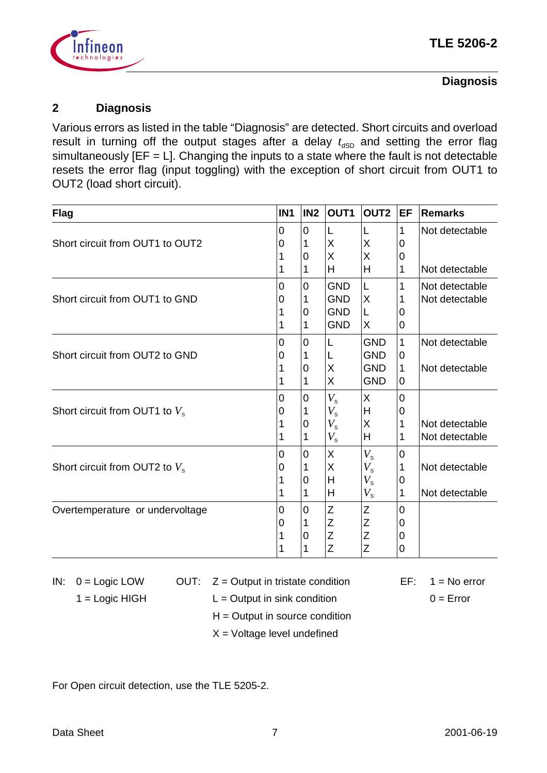

# **Diagnosis**

# **2 Diagnosis**

Various errors as listed in the table "Diagnosis" are detected. Short circuits and overload result in turning off the output stages after a delay  $t_{\text{dSD}}$  and setting the error flag simultaneously  $[EF = L]$ . Changing the inputs to a state where the fault is not detectable resets the error flag (input toggling) with the exception of short circuit from OUT1 to OUT2 (load short circuit).

| <b>Flag</b>                      | IN <sub>1</sub> | IN <sub>2</sub> | OUT1        | OUT <sub>2</sub> | EF             | <b>Remarks</b> |
|----------------------------------|-----------------|-----------------|-------------|------------------|----------------|----------------|
|                                  | 0               | 0               | L           |                  | 1              | Not detectable |
| Short circuit from OUT1 to OUT2  | 0               |                 | X           | X                | 0              |                |
|                                  |                 | 0               | X           | X                | 0              |                |
|                                  |                 | 1               | H           | H                | 1              | Not detectable |
|                                  | 0               | $\overline{0}$  | <b>GND</b>  | L                | 1              | Not detectable |
| Short circuit from OUT1 to GND   | 0               | 1               | <b>GND</b>  | X                | 1              | Not detectable |
|                                  |                 | 0               | <b>GND</b>  | L                | 0              |                |
|                                  |                 |                 | <b>GND</b>  | X                | 0              |                |
|                                  | 0               | $\mathbf 0$     | L           | <b>GND</b>       | $\mathbf{1}$   | Not detectable |
| Short circuit from OUT2 to GND   | 0               |                 | L           | <b>GND</b>       | 0              |                |
|                                  |                 | 0               | X           | <b>GND</b>       | 1              | Not detectable |
|                                  |                 | 1               | X           | <b>GND</b>       | $\overline{0}$ |                |
|                                  | 0               | 0               | $V_{\rm s}$ | X                | 0              |                |
| Short circuit from OUT1 to $V_s$ |                 |                 | $V_{\rm s}$ | Н                | 0              |                |
|                                  |                 | 0               | $V_{\rm s}$ | X                | 1              | Not detectable |
|                                  |                 |                 | $V_{\rm s}$ | Н                | 1              | Not detectable |
|                                  | 0               | 0               | X           | $V_{\rm s}$      | 0              |                |
| Short circuit from OUT2 to $V_s$ | 0               |                 | X           | $V_{\rm s}$      | 1              | Not detectable |
|                                  |                 | 0               | H           | $V_{\rm s}$      | 0              |                |
|                                  |                 | 1               | H           | $V_{\rm s}$      | 1              | Not detectable |
| Overtemperature or undervoltage  | 0               | $\mathbf 0$     | Z           | Ζ                | 0              |                |
|                                  | 0               |                 | Z           | Z                | 0              |                |
|                                  |                 | 0               | Z           | Z                | 0              |                |
|                                  |                 | 1               | Z           | Z                | $\overline{0}$ |                |

IN:  $0 = \text{Logic LOW}$  OUT:  $Z = \text{Output}$  in tristate condition EF:  $1 = \text{No error}$ 

- 
- $1 = \text{Logic HIGH}$  L = Output in sink condition  $0 = \text{Error}$ 
	- $H =$  Output in source condition
	- $X =$  Voltage level undefined

For Open circuit detection, use the TLE 5205-2.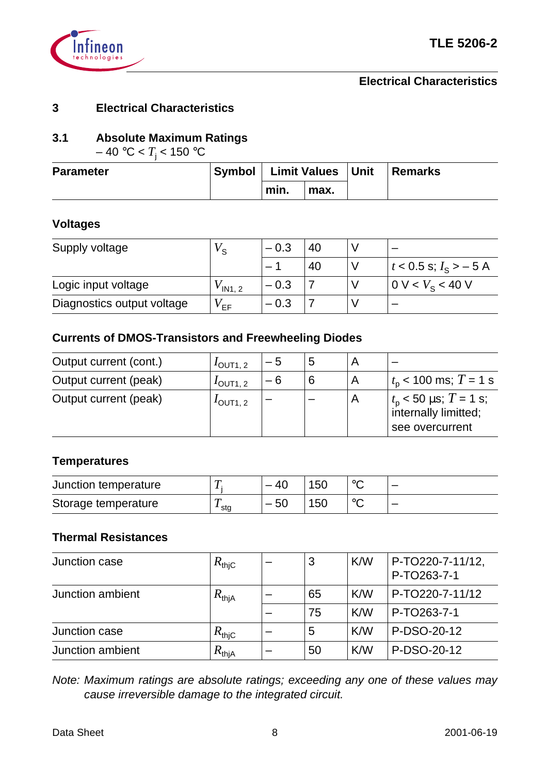

# **3 Electrical Characteristics**

# **3.1 Absolute Maximum Ratings**

 $-$  40 °C <  $T_{\rm j}$  < 150 °C

| <b>Parameter</b> | Symbol   Limit Values   Unit |      | Remarks |
|------------------|------------------------------|------|---------|
|                  | min.                         | max. |         |

#### **Voltages**

| Supply voltage             | ′ S                | $-0.3$ | 40 |                             |
|----------------------------|--------------------|--------|----|-----------------------------|
|                            |                    |        | 40 | $t < 0.5$ s; $I_s > -5$ A   |
| Logic input voltage        | $V_{\text{IN1.2}}$ | $-0.3$ |    | 0 V < V <sub>s</sub> < 40 V |
| Diagnostics output voltage | <sup>y</sup> FF    | $-0.3$ |    |                             |

#### **Currents of DMOS-Transistors and Freewheeling Diodes**

| Output current (cont.) | $I_{\text{OUT1, 2}}$ | — 5 | 5 |                |                                                                            |
|------------------------|----------------------|-----|---|----------------|----------------------------------------------------------------------------|
| Output current (peak)  | $I_{\text{OUT1, 2}}$ | - 6 | 6 |                | $t_{\rm p}$ < 100 ms; T = 1 s                                              |
| Output current (peak)  | $I$ OUT1, 2          |     |   | $\overline{A}$ | $t_{\rm p}$ < 50 µs; $T = 1$ s;<br>internally limitted;<br>see overcurrent |

# **Temperatures**

| Junction temperature |     | -4C   | 150 |  |
|----------------------|-----|-------|-----|--|
| Storage temperature  | sta | $-50$ | 150 |  |

#### **Thermal Resistances**

| Junction case    | $R_{\mathsf{thjC}}$ | 3  | K/W | P-TO220-7-11/12,<br>P-TO263-7-1 |
|------------------|---------------------|----|-----|---------------------------------|
| Junction ambient | $R_\mathsf{thjA}$   | 65 | K/W | P-TO220-7-11/12                 |
|                  |                     | 75 | K/W | P-TO263-7-1                     |
| Junction case    | $R_{\mathsf{thiC}}$ | 5  | K/W | P-DSO-20-12                     |
| Junction ambient | $R_\mathsf{thjA}$   | 50 | K/W | P-DSO-20-12                     |

Note: Maximum ratings are absolute ratings; exceeding any one of these values may cause irreversible damage to the integrated circuit.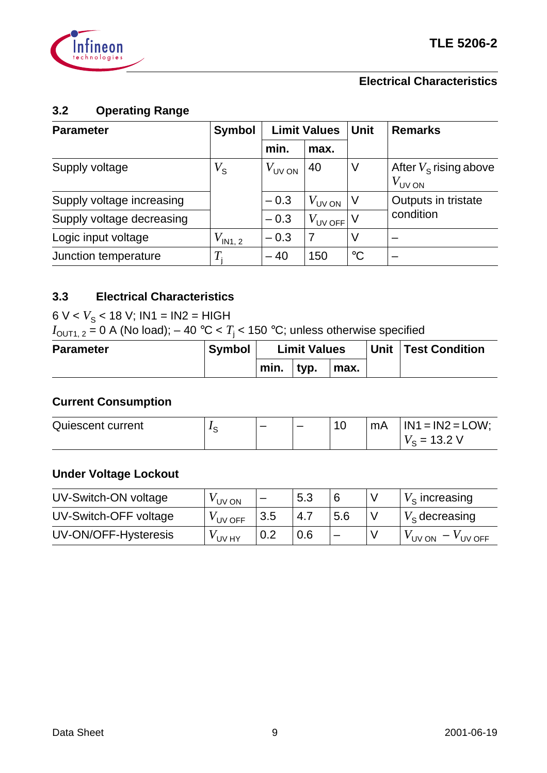

#### $3.2$ **3.2 Operating Range**

| <b>Parameter</b>          | <b>Symbol</b>        | <b>Limit Values</b> |                    | <b>Unit</b>     | <b>Remarks</b>                                 |  |
|---------------------------|----------------------|---------------------|--------------------|-----------------|------------------------------------------------|--|
|                           |                      | min.                | max.               |                 |                                                |  |
| Supply voltage            | $V_{\tt S}$          | $V_{UV \text{ ON}}$ | 40                 | V               | After $V_s$ rising above<br>$V_{\text{UV ON}}$ |  |
| Supply voltage increasing |                      | $-0.3$              | $V_{\text{UV ON}}$ | l V             | Outputs in tristate                            |  |
| Supply voltage decreasing |                      | $-0.3$              | $V_{UVOFF}$ V      |                 | condition                                      |  |
| Logic input voltage       | $V_{\mathsf{IN1,2}}$ | $-0.3$              | 7                  | V               |                                                |  |
| Junction temperature      | $T_{\rm i}$          | $-40$               | 150                | $\rm ^{\circ}C$ |                                                |  |

# **3.3 Electrical Characteristics**

 $6 V < V<sub>S</sub> < 18 V$ ; IN1 = IN2 = HIGH

 $I_{\mathsf{OUT1},\ 2}$  = 0 A (No load);  $-$  40 °C <  $T_{\mathsf{j}}$  < 150 °C; unless otherwise specified

| <b>Parameter</b> | <b>Symbol</b> |      | <b>Limit Values</b> |      | Unit Test Condition |
|------------------|---------------|------|---------------------|------|---------------------|
|                  |               | min. | tvp.                | max. |                     |

# **Current Consumption**

| Quiescent current | ີ | _ | $\overline{10}$<br>ΙU | mA. | $IN1 = IN2 = LOW;$            |
|-------------------|---|---|-----------------------|-----|-------------------------------|
|                   |   |   |                       |     | $\overline{\phantom{0}}$<br>- |

# **Under Voltage Lockout**

| UV-Switch-ON voltage  | V UV ON    | $\overline{\phantom{0}}$ | 5.3 | 6   | $V_s$ increasing          |
|-----------------------|------------|--------------------------|-----|-----|---------------------------|
| UV-Switch-OFF voltage | $V$ UV OFF | 3.5                      | 4.7 | 5.6 | $V_{\rm s}$ decreasing    |
| UV-ON/OFF-Hysteresis  | ' UV HY    | 0.2                      | 0.6 |     | $V_{UV}$ ON<br>$V$ UV OFF |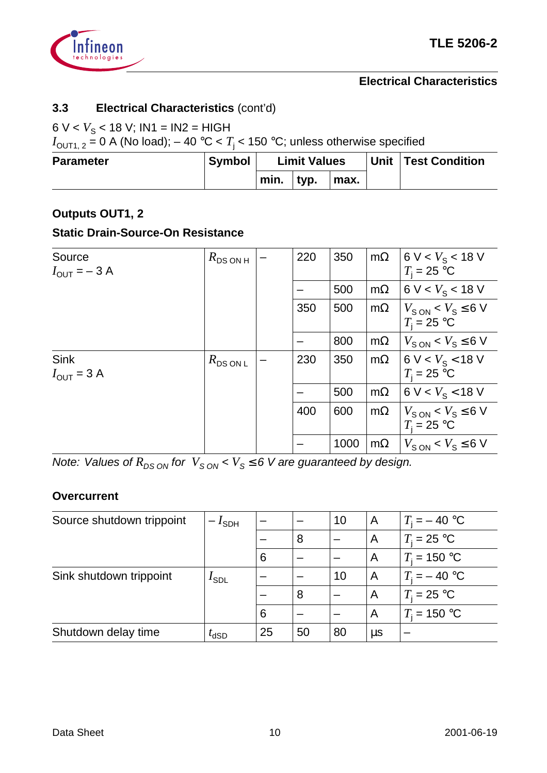

# **3.3 Electrical Characteristics** (cont'd)

# $6 V < V<sub>S</sub> < 18 V$ ; IN1 = IN2 = HIGH

 $I_{\mathsf{OUT1},\ 2}$  = 0 A (No load);  $-$  40 °C <  $T_{\mathsf{j}}$  < 150 °C; unless otherwise specified

| <b>Parameter</b> | <b>Symbol</b> | <b>Limit Values</b> |      |      | Unit   Test Condition |
|------------------|---------------|---------------------|------|------|-----------------------|
|                  |               | min.                | typ. | max. |                       |

# **Outputs OUT1, 2**

#### **Static Drain-Source-On Resistance**

| Source<br>$I_{\text{OUT}} = -3 \text{ A}$     | $R_{DS ON H}$ | 220 | 350  | $m\Omega$ | 6 V < $V_S$ < 18 V<br>$T_i = 25$ °C                     |
|-----------------------------------------------|---------------|-----|------|-----------|---------------------------------------------------------|
|                                               |               |     | 500  | $m\Omega$ | 6 V < $V_S$ < 18 V                                      |
|                                               |               | 350 | 500  | $m\Omega$ | $V_{\rm SON}$ < $V_{\rm S}$ $\leq$ 6 V<br>$T_i = 25$ °C |
|                                               |               |     | 800  | $m\Omega$ | $V_{SON}$ < $V_S \leq 6$ V                              |
| <b>Sink</b><br>$I_{\text{OUT}} = 3 \text{ A}$ | $R_{DSONL}$   | 230 | 350  | $m\Omega$ | 6 V < $V_S$ < 18 V<br>$T_i = 25$ °C                     |
|                                               |               |     | 500  | $m\Omega$ | 6 V < $V_S$ < 18 V                                      |
|                                               |               | 400 | 600  | $m\Omega$ | $V_{\rm SON}$ < $V_{\rm S}$ $\leq$ 6 V<br>$T_i = 25$ °C |
|                                               |               |     | 1000 | $m\Omega$ | $V_{\text{S ON}} < V_{\text{S}} \le 6 \text{ V}$        |

Note: Values of  $R_{DS ON}$  for  $V_{S ON} < V_S \le 6$  V are guaranteed by design.

#### **Overcurrent**

| Source shutdown trippoint | 'sdh                    |    |    | 10 | A       | $T_i = -40$ °C |
|---------------------------|-------------------------|----|----|----|---------|----------------|
|                           |                         |    | 8  |    | A       | $T_i = 25$ °C  |
|                           |                         | 6  |    |    | A       | $T_i = 150 °C$ |
| Sink shutdown trippoint   | $I_{\text{SDL}}$        |    |    | 10 | A       | $T_i = -40$ °C |
|                           |                         |    | 8  |    | A       | $T_i = 25$ °C  |
|                           |                         | 6  |    |    | A       | $T_i = 150 °C$ |
| Shutdown delay time       | $\iota$ <sub>d</sub> SD | 25 | 50 | 80 | $\mu$ s |                |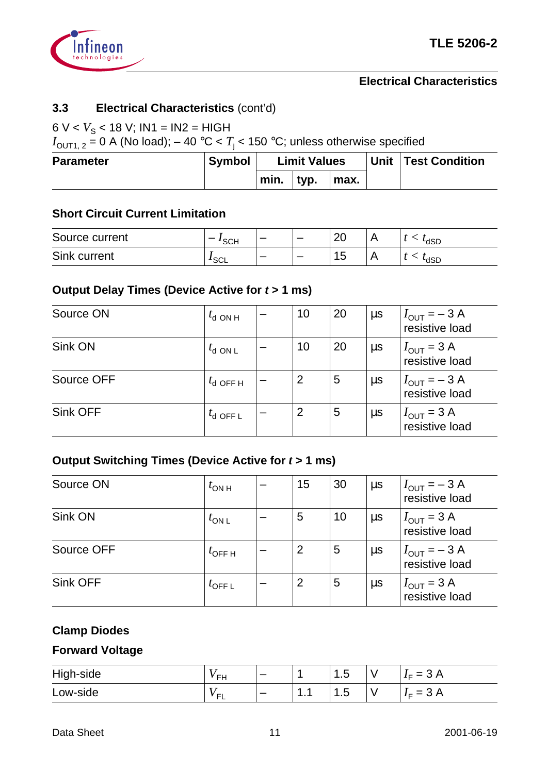

# **3.3 Electrical Characteristics** (cont'd)

# 6  $V < V<sub>S</sub> < 18$  V; IN1 = IN2 = HIGH

 $I_{\mathsf{OUT1},\ 2}$  = 0 A (No load);  $-$  40 °C <  $T_{\mathsf{j}}$  < 150 °C; unless otherwise specified

| <b>Parameter</b> | <b>Symbol</b> | <b>Limit Values</b> |      |      | <b>Unit   Test Condition</b> |
|------------------|---------------|---------------------|------|------|------------------------------|
|                  |               | min.                | typ. | max. |                              |

#### **Short Circuit Current Limitation**

| Source current | <b>SCH</b>       | $\overline{\phantom{0}}$ | - | 20                  | 'dSD |
|----------------|------------------|--------------------------|---|---------------------|------|
| Sink current   | <sup>I</sup> SCL | -                        |   | 1 <sub>E</sub><br>N | 'dSD |

#### **Output Delay Times (Device Active for** *t* **> 1 ms)**

| Source ON  | $t_{\rm d}$ ON H       | 10 | 20 | $\mu$ s | $I_{\text{OUT}} = -3 \text{ A}$<br>resistive load |
|------------|------------------------|----|----|---------|---------------------------------------------------|
| Sink ON    | $t_{\text{d}$ ON L     | 10 | 20 | $\mu$ s | $I_{\text{OUT}} = 3 \text{ A}$<br>resistive load  |
| Source OFF | $t_{\mathsf{d}}$ OFF H | 2  | 5  | $\mu$ s | $I_{\text{OUT}} = -3 \text{ A}$<br>resistive load |
| Sink OFF   | $t_{\mathsf{d}}$ OFF L | 2  | 5  | $\mu$ s | $I_{\text{OUT}} = 3 \text{ A}$<br>resistive load  |

# **Output Switching Times (Device Active for** *t* **> 1 ms)**

| Source ON  | $t_{\text{ON H}}$  | 15 | 30 | $\mu$ s | $I_{\text{OUT}} = -3 \text{ A}$<br>resistive load |
|------------|--------------------|----|----|---------|---------------------------------------------------|
| Sink ON    | $t_{ON L}$         | 5  | 10 | $\mu$ s | $I_{\text{OUT}} = 3 \text{ A}$<br>resistive load  |
| Source OFF | $t_{\text{OFF H}}$ | 2  | 5  | $\mu s$ | $I_{\text{OUT}} = -3 \text{ A}$<br>resistive load |
| Sink OFF   | $^{l}$ OFF L       | 2  | 5  | $\mu$ s | $I_{\text{OUT}} = 3 \text{ A}$<br>resistive load  |

# **Clamp Diodes**

# **Forward Voltage**

| High-side | ÉFH.    | $\overline{\phantom{0}}$ |        | $\overline{r}$<br>∽<br>טוו | ٧ | ⌒<br>$= 3 A$<br><b>-</b> |
|-----------|---------|--------------------------|--------|----------------------------|---|--------------------------|
| Low-side  | ้⊏<br>. |                          | -<br>. | ∽<br>ט. ו                  | ٧ | $=$ 3 A<br>$I \sqsubset$ |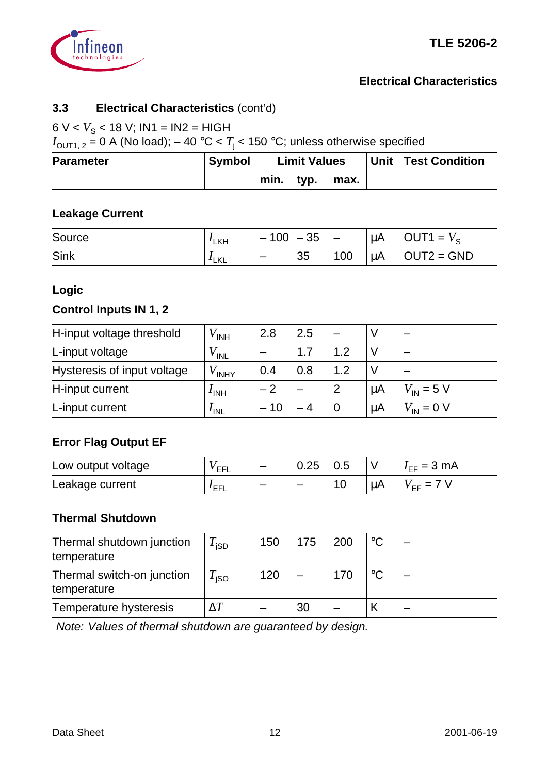

# **3.3 Electrical Characteristics** (cont'd)

# 6  $V < V<sub>S</sub> < 18$  V; IN1 = IN2 = HIGH

 $I_{\mathsf{OUT1},\ 2}$  = 0 A (No load);  $-$  40 °C <  $T_{\mathsf{j}}$  < 150 °C; unless otherwise specified

| <b>Parameter</b> | <b>Symbol</b> | <b>Limit Values</b> |      |      | Unit Test Condition |
|------------------|---------------|---------------------|------|------|---------------------|
|                  |               | min.                | typ. | max. |                     |

# **Leakage Current**

| Source | $I$ LKH             | 100<br>-                 | 35 | $\hspace{0.05cm}$ | μA      | ITA<br>OU<br>$=$<br>V c |
|--------|---------------------|--------------------------|----|-------------------|---------|-------------------------|
| Sink   | LKL<br>$\mathbf{A}$ | $\overline{\phantom{0}}$ | 35 | 100               | $\mu$ A | $OUT2 = GND$            |

#### **Logic**

# **Control Inputs IN 1, 2**

| H-input voltage threshold   | <sup>/</sup> INH | 2.8 | 2.5 |          |         |                               |
|-----------------------------|------------------|-----|-----|----------|---------|-------------------------------|
| L-input voltage             | $V_{\text{INL}}$ |     | 1.7 | 1.2      |         |                               |
| Hysteresis of input voltage | $V$ INHY         | 0.4 | 0.8 | 1.2      |         |                               |
| H-input current             | I <sub>INH</sub> | - 2 |     | 2        | $\mu$ A | $V_{\text{IN}} = 5 \text{ V}$ |
| L-input current             | $I_{\text{INL}}$ | 10  |     | $\Omega$ | μA      | $V_{\text{IN}} = 0 \text{ V}$ |

# **Error Flag Output EF**

| Low output voltage | ´ EFL   | $\overline{\phantom{0}}$ | 0.25                     | 0.5 |    | $I_{FF} = 3 \text{ mA}$ |
|--------------------|---------|--------------------------|--------------------------|-----|----|-------------------------|
| Leakage current    | $I$ EFL |                          | $\overline{\phantom{0}}$ |     | ЦA | $\sqrt{F}F =$ (         |

#### **Thermal Shutdown**

| Thermal shutdown junction<br>temperature  | $\tau_{\textsf{\scriptsize{{}_{ISD}}}}$ | 150 | 175 | 200 | $^{\circ}$ C    |  |
|-------------------------------------------|-----------------------------------------|-----|-----|-----|-----------------|--|
| Thermal switch-on junction<br>temperature | $\tau_{\textsf{iso}}^{}$                | 120 |     | 170 | $\rm ^{\circ}C$ |  |
| Temperature hysteresis                    |                                         |     | 30  |     |                 |  |

Note: Values of thermal shutdown are guaranteed by design.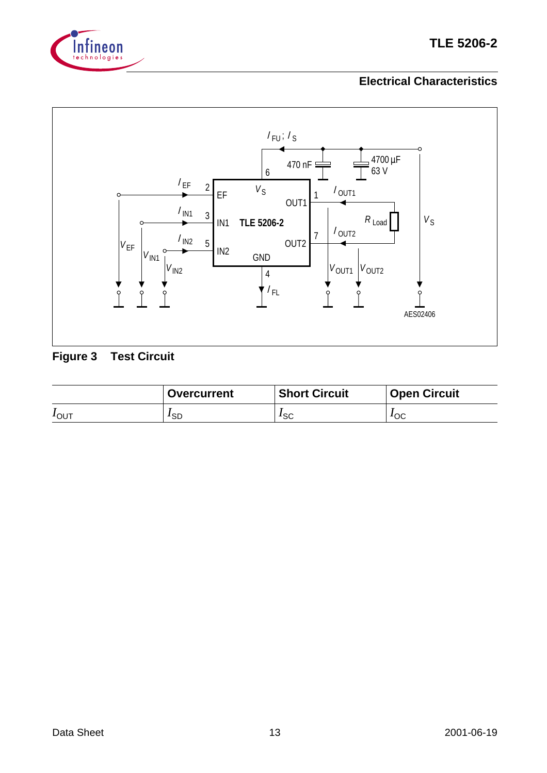



# **Figure 3 Test Circuit**

|         | <b>Overcurrent</b> | <b>Short Circuit</b> | <b>Open Circuit</b> |
|---------|--------------------|----------------------|---------------------|
| $1$ OUT | ′sd                | $1$ <sub>SC</sub>    | 10C                 |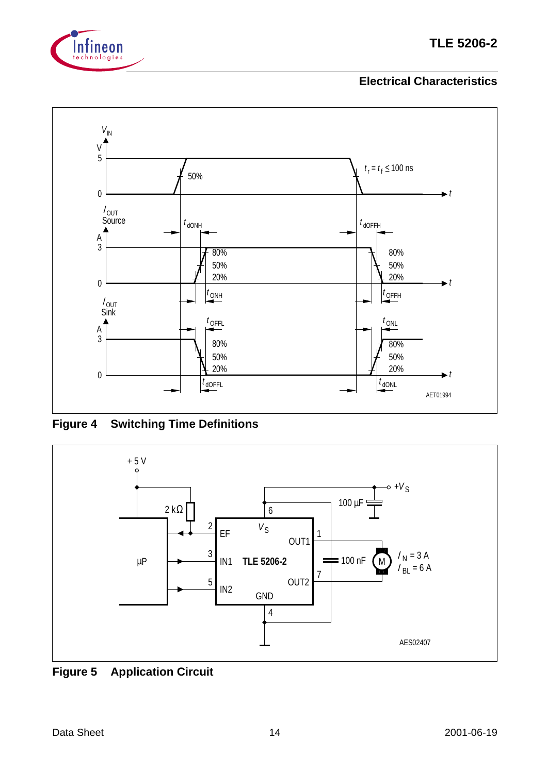



**Figure 4 Switching Time Definitions**



**Figure 5 Application Circuit**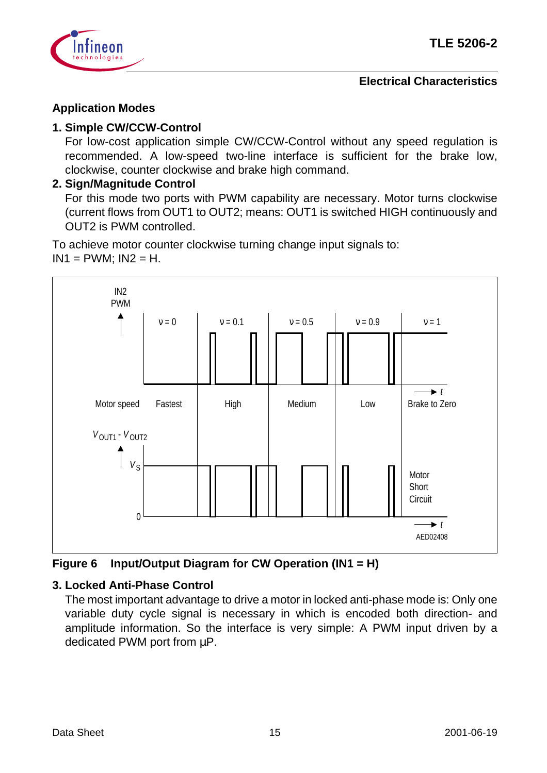

# **Application Modes**

# **1. Simple CW/CCW-Control**

For low-cost application simple CW/CCW-Control without any speed regulation is recommended. A low-speed two-line interface is sufficient for the brake low, clockwise, counter clockwise and brake high command.

# **2. Sign/Magnitude Control**

For this mode two ports with PWM capability are necessary. Motor turns clockwise (current flows from OUT1 to OUT2; means: OUT1 is switched HIGH continuously and OUT2 is PWM controlled.

To achieve motor counter clockwise turning change input signals to:  $IN1 = PWM$ ;  $IN2 = H$ .



**Figure 6 Input/Output Diagram for CW Operation (IN1 = H)**

# **3. Locked Anti-Phase Control**

The most important advantage to drive a motor in locked anti-phase mode is: Only one variable duty cycle signal is necessary in which is encoded both direction- and amplitude information. So the interface is very simple: A PWM input driven by a dedicated PWM port from  $\mu$ P.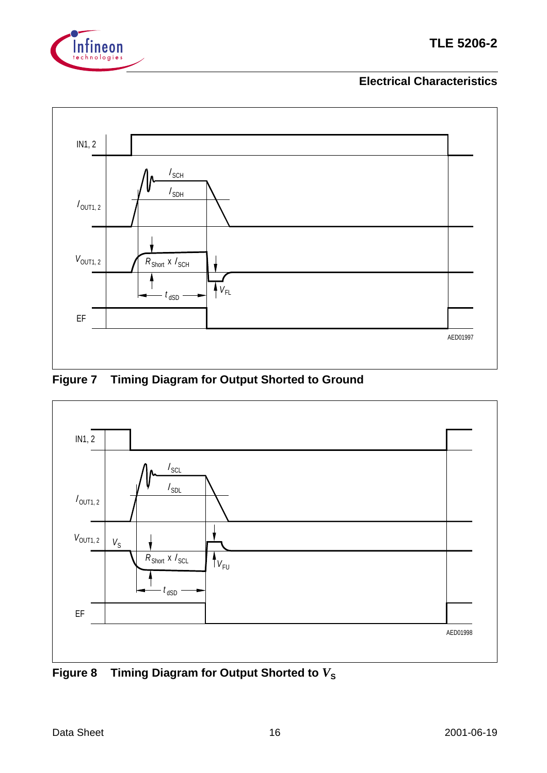



# **Figure 7 Timing Diagram for Output Shorted to Ground**



Figure 8 Timing Diagram for Output Shorted to  $V_s$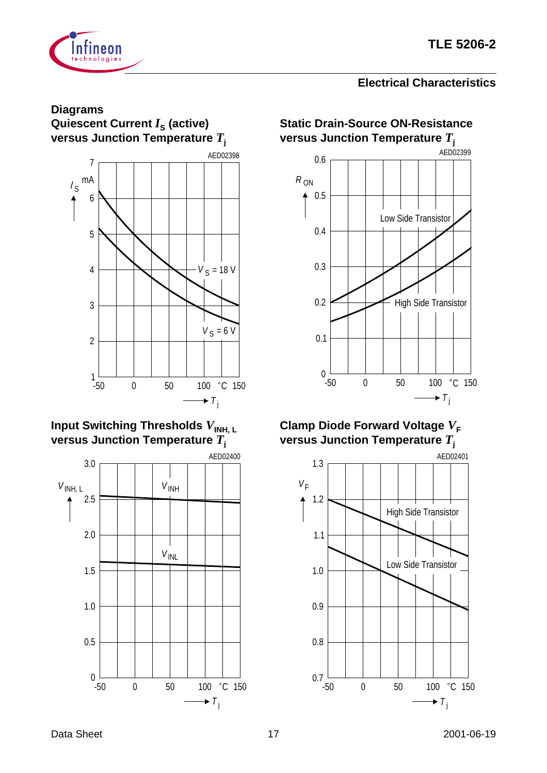

#### **Diagrams Quiescent Current** *I***<sub>S</sub> (active) versus Junction Temperature** *T***<sup>j</sup>**



# **Input Switching Thresholds**  $V_{\mathsf{INH, L}}$ **versus Junction Temperature** *T***<sup>j</sup>**



# **Static Drain-Source ON-Resistance versus Junction Temperature** *T***<sup>j</sup>**



# **Clamp Diode Forward Voltage**  $V_F$ **versus Junction Temperature** *T***<sup>j</sup>**

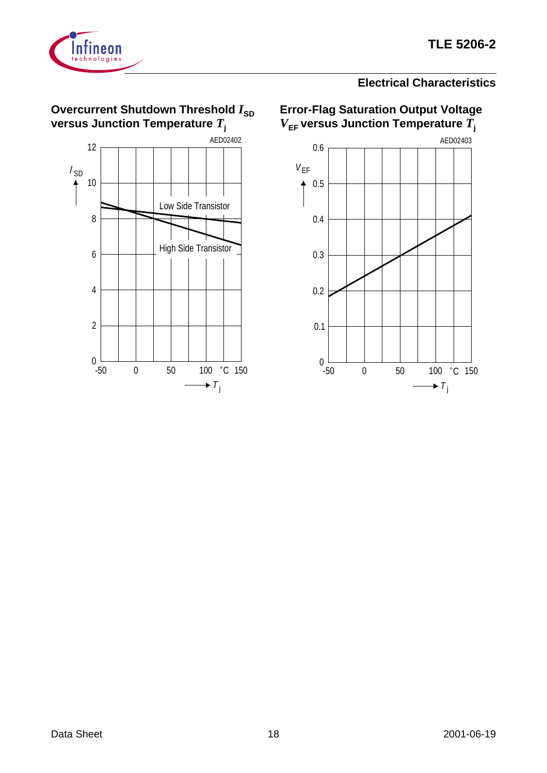



 $0\frac{L}{-50}$ 

2

4

6

8

#### **Electrical Characteristics**



High Side Transistor

0 50 100 °C 150

 $\rightarrow$  T<sub>j</sub>

**Error-Flag Saturation Output Voltage**  $V_{EF}$  versus Junction Temperature  $\overline{T}_{j}$ 

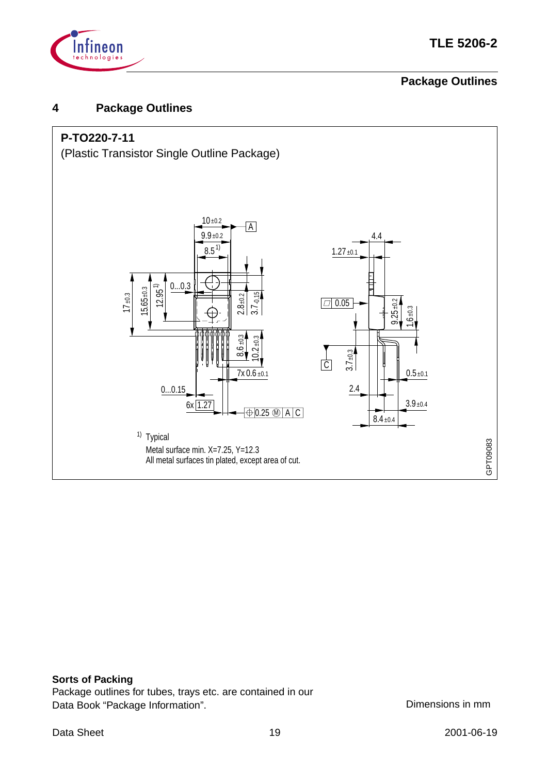

# **Package Outlines**

# **4 Package Outlines**



#### **Sorts of Packing**

Package outlines for tubes, trays etc. are contained in our Data Book "Package Information". Commonly be a control of the Dimensions in mm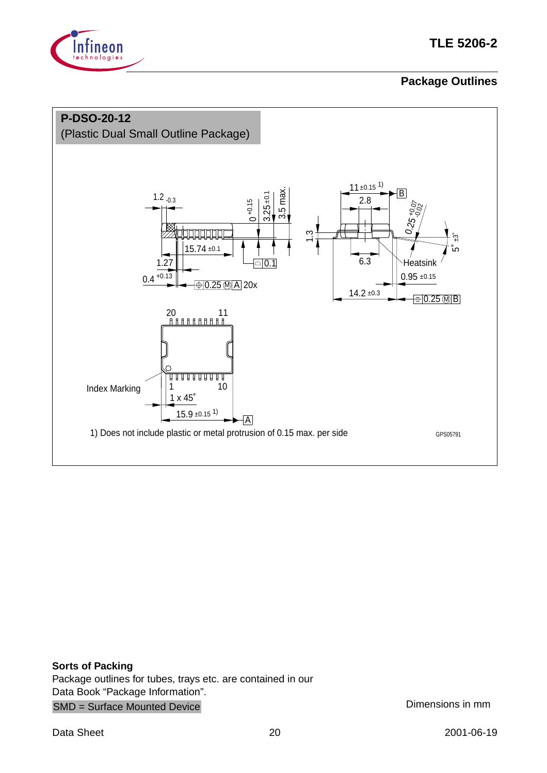

# **Package Outlines**



**Sorts of Packing** Package outlines for tubes, trays etc. are contained in our Data Book "Package Information". SMD = Surface Mounted Device Dimensions in mm

Data Sheet 20 2001-06-19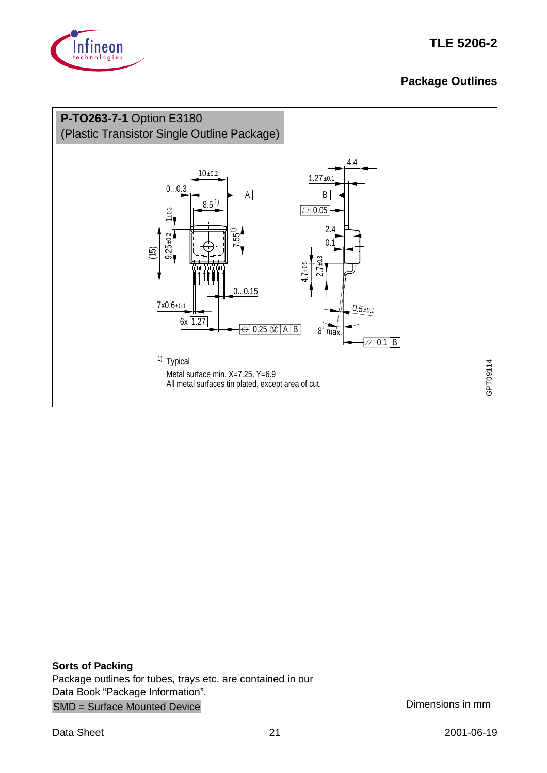

# **TLE 5206-2**

# **Package Outlines**



**Sorts of Packing** Package outlines for tubes, trays etc. are contained in our Data Book "Package Information". SMD = Surface Mounted Device Dimensions in mm